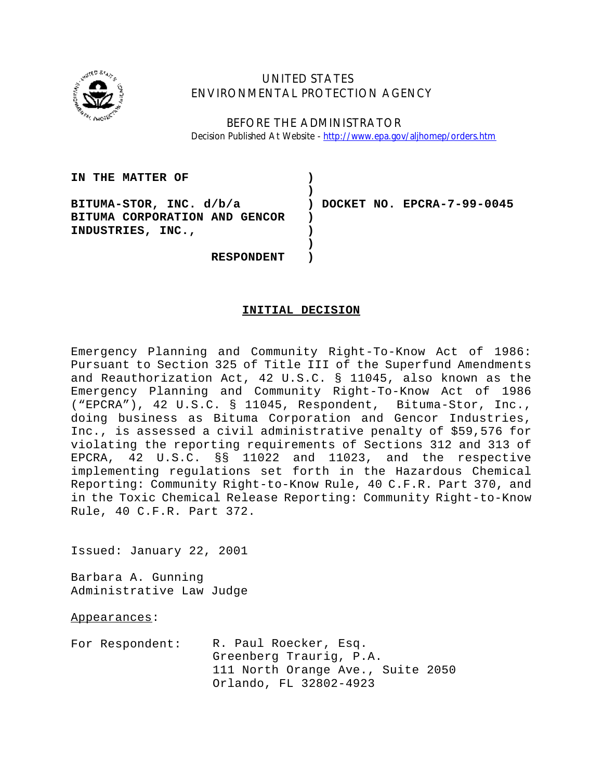

# UNITED STATES ENVIRONMENTAL PROTECTION AGENCY

BEFORE THE ADMINISTRATOR Decision Published At Website - http://www.epa.gov/aljhomep/orders.htm

| IN THE MATTER OF              |                              |
|-------------------------------|------------------------------|
|                               |                              |
| BITUMA-STOR, INC. d/b/a       | ) DOCKET NO. EPCRA-7-99-0045 |
| BITUMA CORPORATION AND GENCOR |                              |
| INDUSTRIES, INC.,             |                              |
|                               |                              |
| <b>RESPONDENT</b>             |                              |

# **INITIAL DECISION**

Emergency Planning and Community Right-To-Know Act of 1986: Pursuant to Section 325 of Title III of the Superfund Amendments and Reauthorization Act, 42 U.S.C. § 11045, also known as the Emergency Planning and Community Right-To-Know Act of 1986 ("EPCRA"), 42 U.S.C. § 11045, Respondent, Bituma-Stor, Inc., doing business as Bituma Corporation and Gencor Industries, Inc., is assessed a civil administrative penalty of \$59,576 for violating the reporting requirements of Sections 312 and 313 of EPCRA, 42 U.S.C. §§ 11022 and 11023, and the respective implementing regulations set forth in the Hazardous Chemical Reporting: Community Right-to-Know Rule, 40 C.F.R. Part 370, and in the Toxic Chemical Release Reporting: Community Right-to-Know Rule, 40 C.F.R. Part 372.

Issued: January 22, 2001

Barbara A. Gunning Administrative Law Judge

Appearances:

For Respondent: R. Paul Roecker, Esq. Greenberg Traurig, P.A. 111 North Orange Ave., Suite 2050 Orlando, FL 32802-4923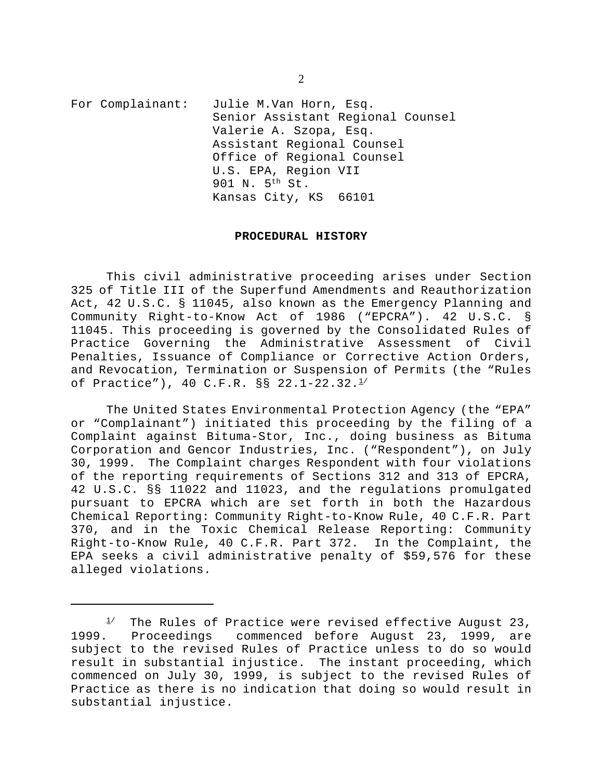For Complainant: Julie M.Van Horn, Esq. Senior Assistant Regional Counsel Valerie A. Szopa, Esq. Assistant Regional Counsel Office of Regional Counsel U.S. EPA, Region VII 901 N. 5th St. Kansas City, KS 66101

#### **PROCEDURAL HISTORY**

This civil administrative proceeding arises under Section 325 of Title III of the Superfund Amendments and Reauthorization Act, 42 U.S.C. § 11045, also known as the Emergency Planning and Community Right-to-Know Act of 1986 ("EPCRA"). 42 U.S.C. § 11045. This proceeding is governed by the Consolidated Rules of Practice Governing the Administrative Assessment of Civil Penalties, Issuance of Compliance or Corrective Action Orders, and Revocation, Termination or Suspension of Permits (the "Rules of Practice"), 40 C.F.R. §§ 22.1-22.32.1/

The United States Environmental Protection Agency (the "EPA" or "Complainant") initiated this proceeding by the filing of a Complaint against Bituma-Stor, Inc., doing business as Bituma Corporation and Gencor Industries, Inc. ("Respondent"), on July 30, 1999. The Complaint charges Respondent with four violations of the reporting requirements of Sections 312 and 313 of EPCRA, 42 U.S.C. §§ 11022 and 11023, and the regulations promulgated pursuant to EPCRA which are set forth in both the Hazardous Chemical Reporting: Community Right-to-Know Rule, 40 C.F.R. Part 370, and in the Toxic Chemical Release Reporting: Community Right-to-Know Rule, 40 C.F.R. Part 372. In the Complaint, the EPA seeks a civil administrative penalty of \$59,576 for these alleged violations.

2

 $1/$  The Rules of Practice were revised effective August 23, 1999. Proceedings commenced before August 23, 1999, are subject to the revised Rules of Practice unless to do so would result in substantial injustice. The instant proceeding, which commenced on July 30, 1999, is subject to the revised Rules of Practice as there is no indication that doing so would result in substantial injustice.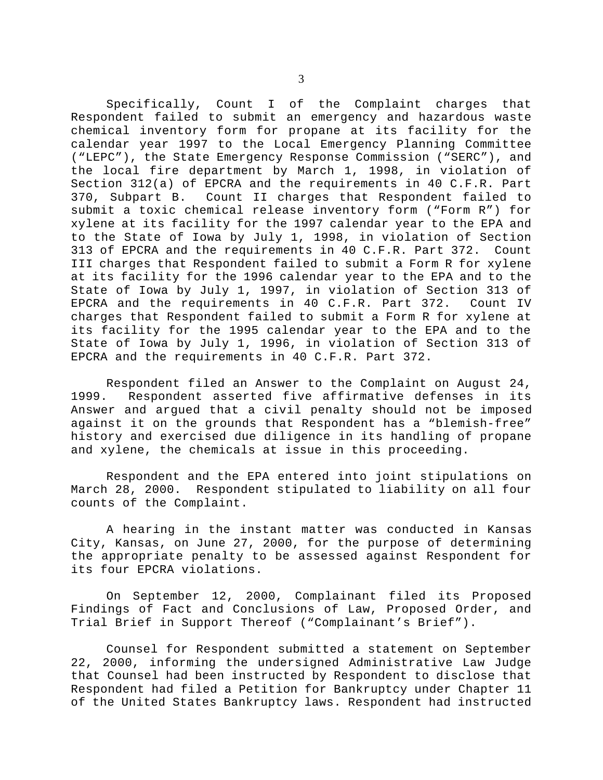Specifically, Count I of the Complaint charges that Respondent failed to submit an emergency and hazardous waste chemical inventory form for propane at its facility for the calendar year 1997 to the Local Emergency Planning Committee ("LEPC"), the State Emergency Response Commission ("SERC"), and the local fire department by March 1, 1998, in violation of Section 312(a) of EPCRA and the requirements in 40 C.F.R. Part 370, Subpart B. Count II charges that Respondent failed to submit a toxic chemical release inventory form ("Form R") for xylene at its facility for the 1997 calendar year to the EPA and to the State of Iowa by July 1, 1998, in violation of Section 313 of EPCRA and the requirements in 40 C.F.R. Part 372. Count III charges that Respondent failed to submit a Form R for xylene at its facility for the 1996 calendar year to the EPA and to the State of Iowa by July 1, 1997, in violation of Section 313 of EPCRA and the requirements in 40 C.F.R. Part 372. Count IV charges that Respondent failed to submit a Form R for xylene at its facility for the 1995 calendar year to the EPA and to the State of Iowa by July 1, 1996, in violation of Section 313 of EPCRA and the requirements in 40 C.F.R. Part 372.

Respondent filed an Answer to the Complaint on August 24, 1999. Respondent asserted five affirmative defenses in its Answer and argued that a civil penalty should not be imposed against it on the grounds that Respondent has a "blemish-free" history and exercised due diligence in its handling of propane and xylene, the chemicals at issue in this proceeding.

Respondent and the EPA entered into joint stipulations on March 28, 2000. Respondent stipulated to liability on all four counts of the Complaint.

A hearing in the instant matter was conducted in Kansas City, Kansas, on June 27, 2000, for the purpose of determining the appropriate penalty to be assessed against Respondent for its four EPCRA violations.

On September 12, 2000, Complainant filed its Proposed Findings of Fact and Conclusions of Law, Proposed Order, and Trial Brief in Support Thereof ("Complainant's Brief").

Counsel for Respondent submitted a statement on September 22, 2000, informing the undersigned Administrative Law Judge that Counsel had been instructed by Respondent to disclose that Respondent had filed a Petition for Bankruptcy under Chapter 11 of the United States Bankruptcy laws. Respondent had instructed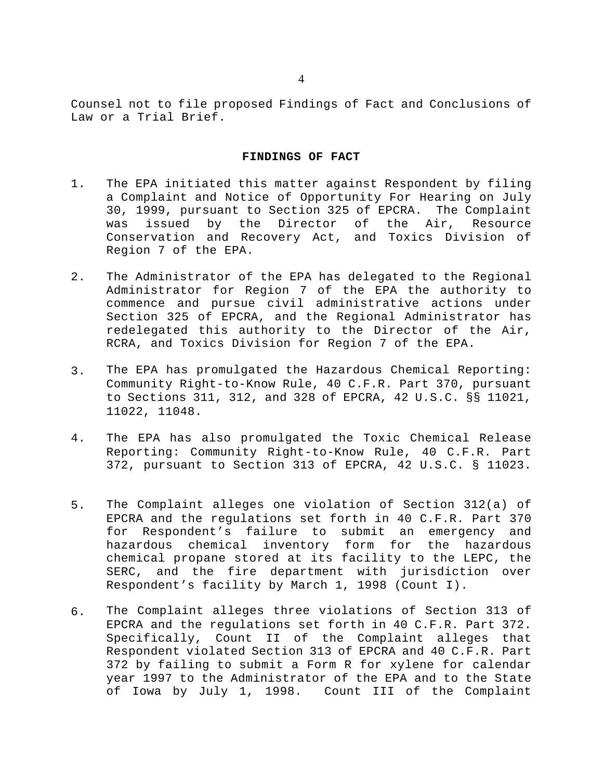Counsel not to file proposed Findings of Fact and Conclusions of Law or a Trial Brief.

# **FINDINGS OF FACT**

- 1. The EPA initiated this matter against Respondent by filing a Complaint and Notice of Opportunity For Hearing on July 30, 1999, pursuant to Section 325 of EPCRA. The Complaint was issued by the Director of the Air, Resource Conservation and Recovery Act, and Toxics Division of Region 7 of the EPA.
- 2. The Administrator of the EPA has delegated to the Regional Administrator for Region 7 of the EPA the authority to commence and pursue civil administrative actions under Section 325 of EPCRA, and the Regional Administrator has redelegated this authority to the Director of the Air, RCRA, and Toxics Division for Region 7 of the EPA.
- 3. The EPA has promulgated the Hazardous Chemical Reporting: Community Right-to-Know Rule, 40 C.F.R. Part 370, pursuant to Sections 311, 312, and 328 of EPCRA, 42 U.S.C. §§ 11021, 11022, 11048.
- 4. The EPA has also promulgated the Toxic Chemical Release Reporting: Community Right-to-Know Rule, 40 C.F.R. Part 372, pursuant to Section 313 of EPCRA, 42 U.S.C. § 11023.
- 5. The Complaint alleges one violation of Section 312(a) of EPCRA and the regulations set forth in 40 C.F.R. Part 370 for Respondent's failure to submit an emergency and hazardous chemical inventory form for the hazardous chemical propane stored at its facility to the LEPC, the SERC, and the fire department with jurisdiction over Respondent's facility by March 1, 1998 (Count I).
- 6. The Complaint alleges three violations of Section 313 of EPCRA and the regulations set forth in 40 C.F.R. Part 372. Specifically, Count II of the Complaint alleges that Respondent violated Section 313 of EPCRA and 40 C.F.R. Part 372 by failing to submit a Form R for xylene for calendar year 1997 to the Administrator of the EPA and to the State of Iowa by July 1, 1998. Count III of the Complaint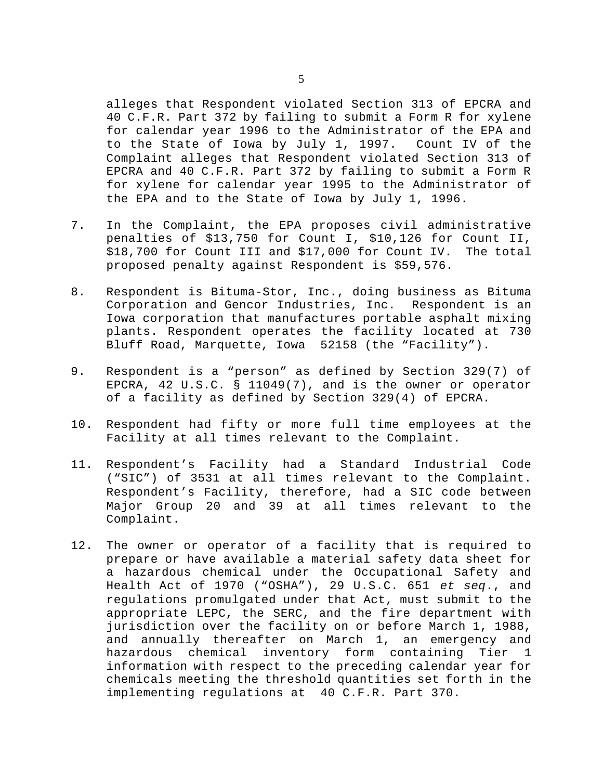alleges that Respondent violated Section 313 of EPCRA and 40 C.F.R. Part 372 by failing to submit a Form R for xylene for calendar year 1996 to the Administrator of the EPA and to the State of Iowa by July 1, 1997. Count IV of the Complaint alleges that Respondent violated Section 313 of EPCRA and 40 C.F.R. Part 372 by failing to submit a Form R for xylene for calendar year 1995 to the Administrator of the EPA and to the State of Iowa by July 1, 1996.

- 7. In the Complaint, the EPA proposes civil administrative penalties of \$13,750 for Count I, \$10,126 for Count II, \$18,700 for Count III and \$17,000 for Count IV. The total proposed penalty against Respondent is \$59,576.
- 8. Respondent is Bituma-Stor, Inc., doing business as Bituma Corporation and Gencor Industries, Inc. Respondent is an Iowa corporation that manufactures portable asphalt mixing plants. Respondent operates the facility located at 730 Bluff Road, Marquette, Iowa 52158 (the "Facility").
- 9. Respondent is a "person" as defined by Section 329(7) of EPCRA, 42 U.S.C. § 11049(7), and is the owner or operator of a facility as defined by Section 329(4) of EPCRA.
- 10. Respondent had fifty or more full time employees at the Facility at all times relevant to the Complaint.
- 11. Respondent's Facility had a Standard Industrial Code ("SIC") of 3531 at all times relevant to the Complaint. Respondent's Facility, therefore, had a SIC code between Major Group 20 and 39 at all times relevant to the Complaint.
- 12. The owner or operator of a facility that is required to prepare or have available a material safety data sheet for a hazardous chemical under the Occupational Safety and Health Act of 1970 ("OSHA"), 29 U.S.C. 651 *et seq*., and regulations promulgated under that Act, must submit to the appropriate LEPC, the SERC, and the fire department with jurisdiction over the facility on or before March 1, 1988, and annually thereafter on March 1, an emergency and hazardous chemical inventory form containing Tier 1 information with respect to the preceding calendar year for chemicals meeting the threshold quantities set forth in the implementing regulations at 40 C.F.R. Part 370.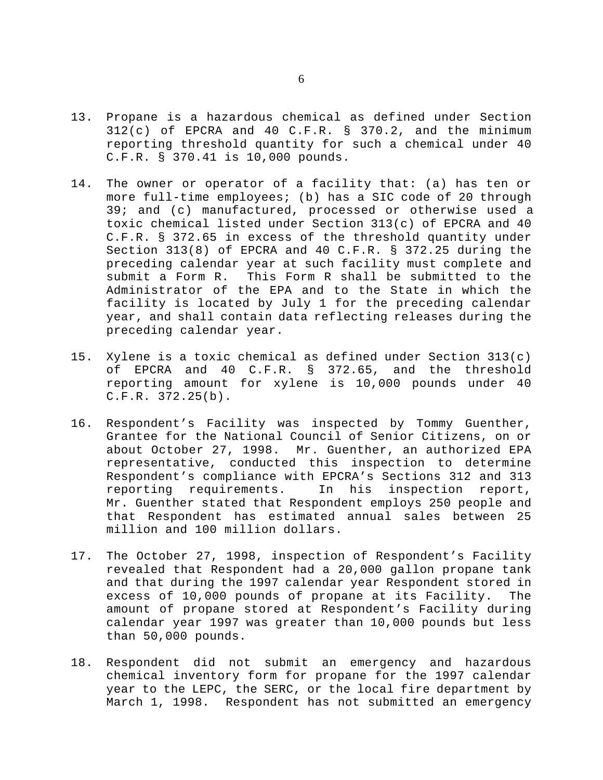- 13. Propane is a hazardous chemical as defined under Section 312(c) of EPCRA and 40 C.F.R. § 370.2, and the minimum reporting threshold quantity for such a chemical under 40 C.F.R. § 370.41 is 10,000 pounds.
- 14. The owner or operator of a facility that: (a) has ten or more full-time employees; (b) has a SIC code of 20 through 39; and (c) manufactured, processed or otherwise used a toxic chemical listed under Section 313(c) of EPCRA and 40 C.F.R. § 372.65 in excess of the threshold quantity under Section 313(8) of EPCRA and 40 C.F.R. § 372.25 during the preceding calendar year at such facility must complete and submit a Form R. This Form R shall be submitted to the Administrator of the EPA and to the State in which the facility is located by July 1 for the preceding calendar year, and shall contain data reflecting releases during the preceding calendar year.
- 15. Xylene is a toxic chemical as defined under Section 313(c) of EPCRA and 40 C.F.R. § 372.65, and the threshold reporting amount for xylene is 10,000 pounds under 40 C.F.R. 372.25(b).
- 16. Respondent's Facility was inspected by Tommy Guenther, Grantee for the National Council of Senior Citizens, on or about October 27, 1998. Mr. Guenther, an authorized EPA representative, conducted this inspection to determine Respondent's compliance with EPCRA's Sections 312 and 313 reporting requirements. In his inspection report, Mr. Guenther stated that Respondent employs 250 people and that Respondent has estimated annual sales between 25 million and 100 million dollars.
- 17. The October 27, 1998, inspection of Respondent's Facility revealed that Respondent had a 20,000 gallon propane tank and that during the 1997 calendar year Respondent stored in excess of 10,000 pounds of propane at its Facility. The amount of propane stored at Respondent's Facility during calendar year 1997 was greater than 10,000 pounds but less than 50,000 pounds.
- 18. Respondent did not submit an emergency and hazardous chemical inventory form for propane for the 1997 calendar year to the LEPC, the SERC, or the local fire department by March 1, 1998. Respondent has not submitted an emergency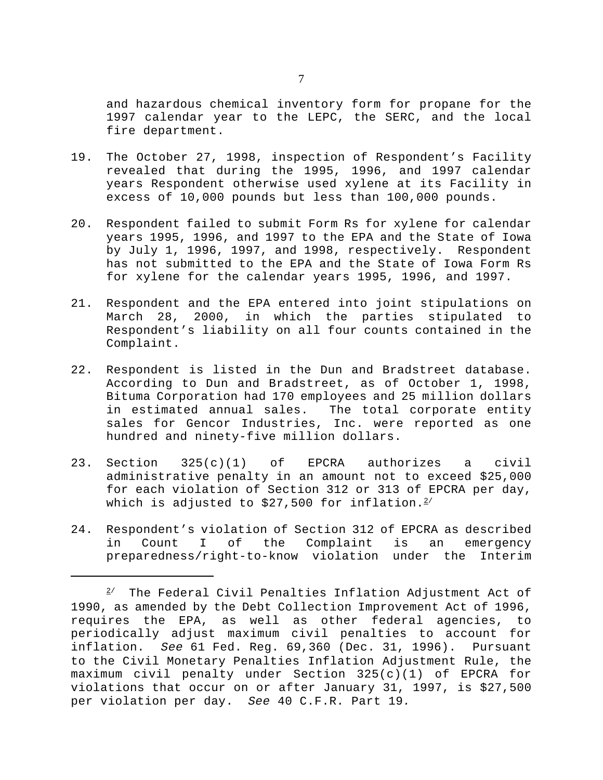and hazardous chemical inventory form for propane for the 1997 calendar year to the LEPC, the SERC, and the local fire department.

- 19. The October 27, 1998, inspection of Respondent's Facility revealed that during the 1995, 1996, and 1997 calendar years Respondent otherwise used xylene at its Facility in excess of 10,000 pounds but less than 100,000 pounds.
- 20. Respondent failed to submit Form Rs for xylene for calendar years 1995, 1996, and 1997 to the EPA and the State of Iowa by July 1, 1996, 1997, and 1998, respectively. Respondent has not submitted to the EPA and the State of Iowa Form Rs for xylene for the calendar years 1995, 1996, and 1997.
- 21. Respondent and the EPA entered into joint stipulations on March 28, 2000, in which the parties stipulated to Respondent's liability on all four counts contained in the Complaint.
- 22. Respondent is listed in the Dun and Bradstreet database. According to Dun and Bradstreet, as of October 1, 1998, Bituma Corporation had 170 employees and 25 million dollars in estimated annual sales. The total corporate entity sales for Gencor Industries, Inc. were reported as one hundred and ninety-five million dollars.
- 23. Section 325(c)(1) of EPCRA authorizes a civil administrative penalty in an amount not to exceed \$25,000 for each violation of Section 312 or 313 of EPCRA per day, which is adjusted to  $$27,500$  for inflation.<sup>2/</sup>
- 24. Respondent's violation of Section 312 of EPCRA as described in Count I of the Complaint is an emergency preparedness/right-to-know violation under the Interim

 $2^{\prime}$  The Federal Civil Penalties Inflation Adjustment Act of 1990, as amended by the Debt Collection Improvement Act of 1996, requires the EPA, as well as other federal agencies, to periodically adjust maximum civil penalties to account for inflation. *See* 61 Fed. Reg. 69,360 (Dec. 31, 1996). Pursuant to the Civil Monetary Penalties Inflation Adjustment Rule, the maximum civil penalty under Section 325(c)(1) of EPCRA for violations that occur on or after January 31, 1997, is \$27,500 per violation per day. *See* 40 C.F.R. Part 19*.*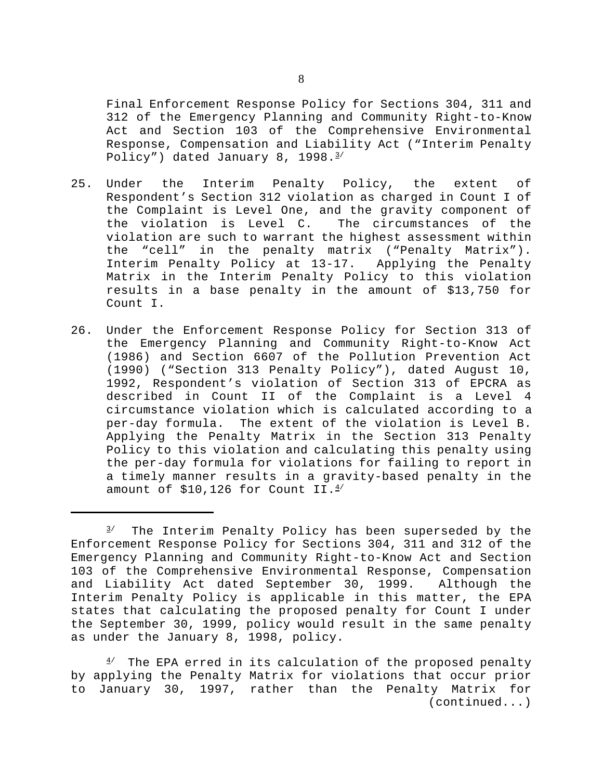Final Enforcement Response Policy for Sections 304, 311 and 312 of the Emergency Planning and Community Right-to-Know Act and Section 103 of the Comprehensive Environmental Response, Compensation and Liability Act ("Interim Penalty Policy") dated January 8, 1998.<sup>3/</sup>

- 25. Under the Interim Penalty Policy, the extent of Respondent's Section 312 violation as charged in Count I of the Complaint is Level One, and the gravity component of the violation is Level C. The circumstances of the violation are such to warrant the highest assessment within the "cell" in the penalty matrix ("Penalty Matrix"). Interim Penalty Policy at 13-17. Applying the Penalty Matrix in the Interim Penalty Policy to this violation results in a base penalty in the amount of \$13,750 for Count I.
- 26. Under the Enforcement Response Policy for Section 313 of the Emergency Planning and Community Right-to-Know Act (1986) and Section 6607 of the Pollution Prevention Act (1990) ("Section 313 Penalty Policy"), dated August 10, 1992, Respondent's violation of Section 313 of EPCRA as described in Count II of the Complaint is a Level 4 circumstance violation which is calculated according to a per-day formula. The extent of the violation is Level B. Applying the Penalty Matrix in the Section 313 Penalty Policy to this violation and calculating this penalty using the per-day formula for violations for failing to report in a timely manner results in a gravity-based penalty in the amount of  $$10,126$  for Count II. $4/$

 $3/$  The Interim Penalty Policy has been superseded by the Enforcement Response Policy for Sections 304, 311 and 312 of the Emergency Planning and Community Right-to-Know Act and Section 103 of the Comprehensive Environmental Response, Compensation and Liability Act dated September 30, 1999. Although the Interim Penalty Policy is applicable in this matter, the EPA states that calculating the proposed penalty for Count I under the September 30, 1999, policy would result in the same penalty as under the January 8, 1998, policy.

 $4'$  The EPA erred in its calculation of the proposed penalty by applying the Penalty Matrix for violations that occur prior to January 30, 1997, rather than the Penalty Matrix for (continued...)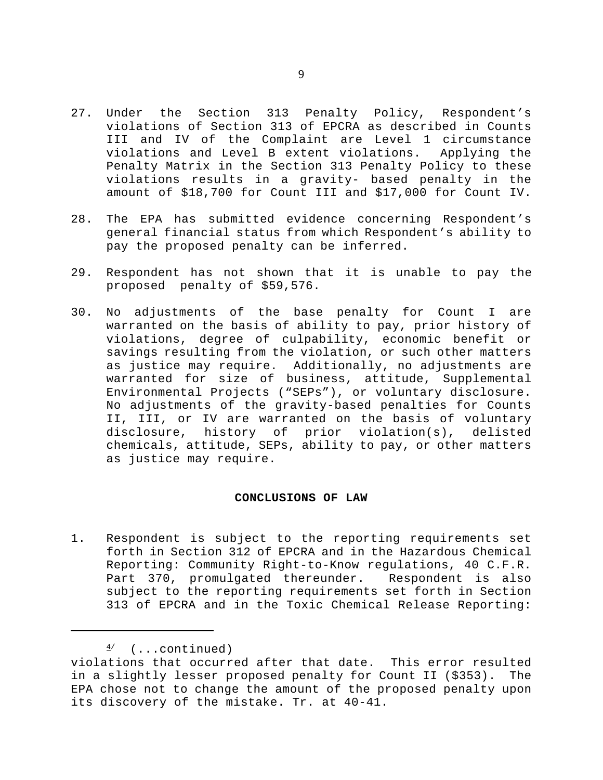- 27. Under the Section 313 Penalty Policy, Respondent's violations of Section 313 of EPCRA as described in Counts III and IV of the Complaint are Level 1 circumstance violations and Level B extent violations. Applying the Penalty Matrix in the Section 313 Penalty Policy to these violations results in a gravity- based penalty in the amount of \$18,700 for Count III and \$17,000 for Count IV.
- 28. The EPA has submitted evidence concerning Respondent's general financial status from which Respondent's ability to pay the proposed penalty can be inferred.
- 29. Respondent has not shown that it is unable to pay the proposed penalty of \$59,576.
- 30. No adjustments of the base penalty for Count I are warranted on the basis of ability to pay, prior history of violations, degree of culpability, economic benefit or savings resulting from the violation, or such other matters as justice may require. Additionally, no adjustments are warranted for size of business, attitude, Supplemental Environmental Projects ("SEPs"), or voluntary disclosure. No adjustments of the gravity-based penalties for Counts II, III, or IV are warranted on the basis of voluntary disclosure, history of prior violation(s), delisted chemicals, attitude, SEPs, ability to pay, or other matters as justice may require.

# **CONCLUSIONS OF LAW**

1. Respondent is subject to the reporting requirements set forth in Section 312 of EPCRA and in the Hazardous Chemical Reporting: Community Right-to-Know regulations, 40 C.F.R. Part 370, promulgated thereunder. Respondent is also subject to the reporting requirements set forth in Section 313 of EPCRA and in the Toxic Chemical Release Reporting:

 $\frac{4}{ }$  (...continued)

violations that occurred after that date. This error resulted in a slightly lesser proposed penalty for Count II (\$353). The EPA chose not to change the amount of the proposed penalty upon its discovery of the mistake. Tr. at 40-41.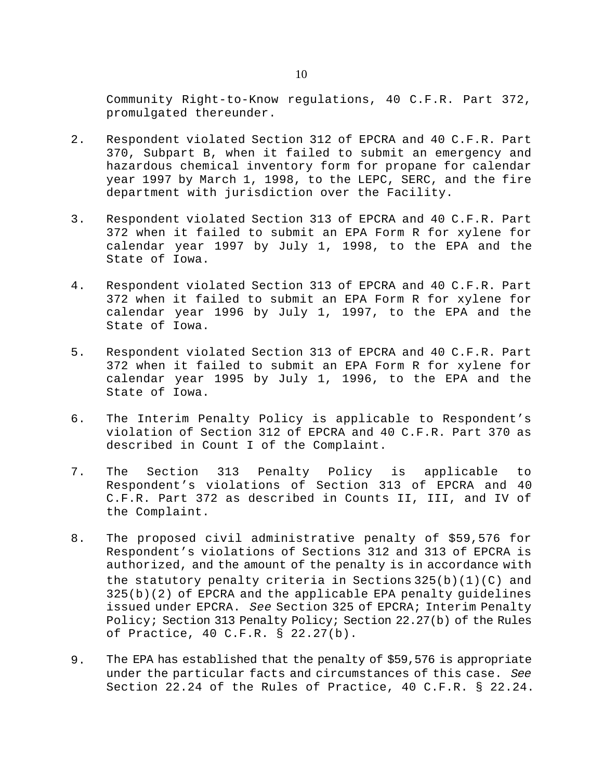Community Right-to-Know regulations, 40 C.F.R. Part 372, promulgated thereunder.

- 2. Respondent violated Section 312 of EPCRA and 40 C.F.R. Part 370, Subpart B, when it failed to submit an emergency and hazardous chemical inventory form for propane for calendar year 1997 by March 1, 1998, to the LEPC, SERC, and the fire department with jurisdiction over the Facility.
- 3. Respondent violated Section 313 of EPCRA and 40 C.F.R. Part 372 when it failed to submit an EPA Form R for xylene for calendar year 1997 by July 1, 1998, to the EPA and the State of Iowa.
- 4. Respondent violated Section 313 of EPCRA and 40 C.F.R. Part 372 when it failed to submit an EPA Form R for xylene for calendar year 1996 by July 1, 1997, to the EPA and the State of Iowa.
- 5. Respondent violated Section 313 of EPCRA and 40 C.F.R. Part 372 when it failed to submit an EPA Form R for xylene for calendar year 1995 by July 1, 1996, to the EPA and the State of Iowa.
- 6. The Interim Penalty Policy is applicable to Respondent's violation of Section 312 of EPCRA and 40 C.F.R. Part 370 as described in Count I of the Complaint.
- 7. The Section 313 Penalty Policy is applicable to Respondent's violations of Section 313 of EPCRA and 40 C.F.R. Part 372 as described in Counts II, III, and IV of the Complaint.
- 8. The proposed civil administrative penalty of \$59,576 for Respondent's violations of Sections 312 and 313 of EPCRA is authorized, and the amount of the penalty is in accordance with the statutory penalty criteria in Sections  $325(b)(1)(C)$  and 325(b)(2) of EPCRA and the applicable EPA penalty guidelines issued under EPCRA. *See* Section 325 of EPCRA; Interim Penalty Policy; Section 313 Penalty Policy; Section 22.27(b) of the Rules of Practice, 40 C.F.R. § 22.27(b).
- 9. The EPA has established that the penalty of \$59,576 is appropriate under the particular facts and circumstances of this case. *See* Section 22.24 of the Rules of Practice, 40 C.F.R. § 22.24.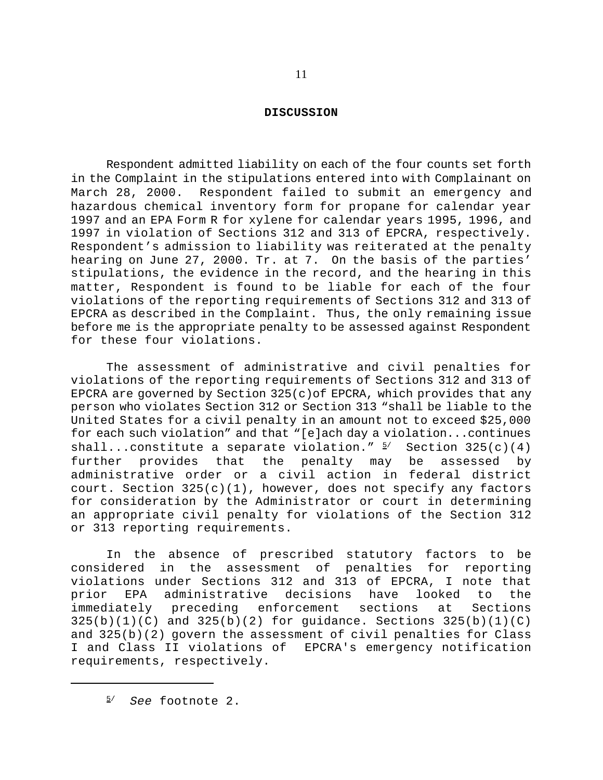### **DISCUSSION**

Respondent admitted liability on each of the four counts set forth in the Complaint in the stipulations entered into with Complainant on March 28, 2000. Respondent failed to submit an emergency and hazardous chemical inventory form for propane for calendar year 1997 and an EPA Form R for xylene for calendar years 1995, 1996, and 1997 in violation of Sections 312 and 313 of EPCRA, respectively. Respondent's admission to liability was reiterated at the penalty hearing on June 27, 2000. Tr. at 7. On the basis of the parties' stipulations, the evidence in the record, and the hearing in this matter, Respondent is found to be liable for each of the four violations of the reporting requirements of Sections 312 and 313 of EPCRA as described in the Complaint. Thus, the only remaining issue before me is the appropriate penalty to be assessed against Respondent for these four violations.

The assessment of administrative and civil penalties for violations of the reporting requirements of Sections 312 and 313 of EPCRA are governed by Section  $325(c)$  of EPCRA, which provides that any person who violates Section 312 or Section 313 "shall be liable to the United States for a civil penalty in an amount not to exceed \$25,000 for each such violation" and that "[e]ach day a violation...continues shall...constitute a separate violation."  $5/$  Section 325(c)(4) further provides that the penalty may be assessed by administrative order or a civil action in federal district court. Section 325(c)(1), however, does not specify any factors for consideration by the Administrator or court in determining an appropriate civil penalty for violations of the Section 312 or 313 reporting requirements.

In the absence of prescribed statutory factors to be considered in the assessment of penalties for reporting violations under Sections 312 and 313 of EPCRA, I note that prior EPA administrative decisions have looked to the immediately preceding enforcement sections at Sections  $325(b)(1)(C)$  and  $325(b)(2)$  for guidance. Sections  $325(b)(1)(C)$ and 325(b)(2) govern the assessment of civil penalties for Class I and Class II violations of EPCRA's emergency notification requirements, respectively.

5/ *See* footnote 2.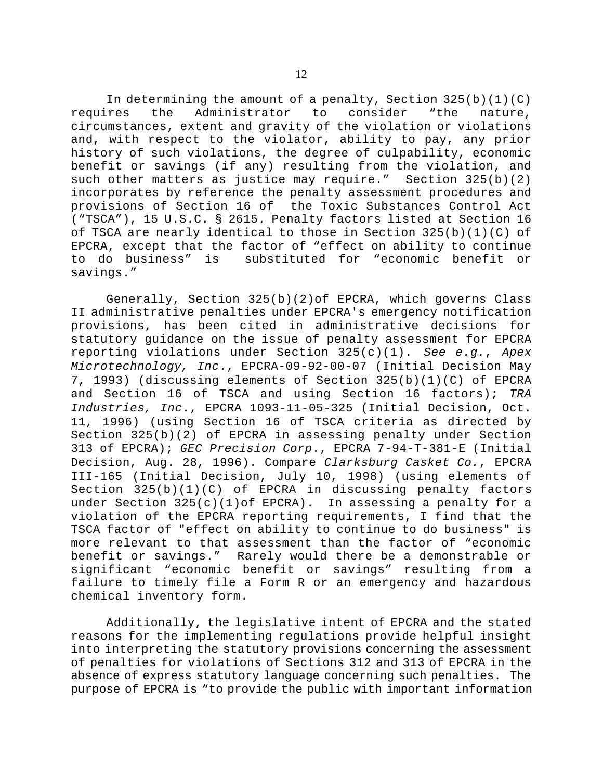In determining the amount of a penalty, Section  $325(b)(1)(C)$ requires the Administrator to consider "the nature, circumstances, extent and gravity of the violation or violations and, with respect to the violator, ability to pay, any prior history of such violations, the degree of culpability, economic benefit or savings (if any) resulting from the violation, and such other matters as justice may require." Section 325(b)(2) incorporates by reference the penalty assessment procedures and provisions of Section 16 of the Toxic Substances Control Act ("TSCA"), 15 U.S.C. § 2615. Penalty factors listed at Section 16 of TSCA are nearly identical to those in Section 325(b)(1)(C) of EPCRA, except that the factor of "effect on ability to continue to do business" is substituted for "economic benefit or savings."

Generally, Section 325(b)(2)of EPCRA, which governs Class II administrative penalties under EPCRA's emergency notification provisions, has been cited in administrative decisions for statutory guidance on the issue of penalty assessment for EPCRA reporting violations under Section 325(c)(1). *See e.g.*, *Apex Microtechnology, Inc*., EPCRA-09-92-00-07 (Initial Decision May 7, 1993) (discussing elements of Section 325(b)(1)(C) of EPCRA and Section 16 of TSCA and using Section 16 factors); *TRA Industries, Inc*., EPCRA 1093-11-05-325 (Initial Decision, Oct. 11, 1996) (using Section 16 of TSCA criteria as directed by Section 325(b)(2) of EPCRA in assessing penalty under Section 313 of EPCRA); *GEC Precision Corp*., EPCRA 7-94-T-381-E (Initial Decision, Aug. 28, 1996). Compare *Clarksburg Casket Co.*, EPCRA III-165 (Initial Decision, July 10, 1998) (using elements of Section  $325(b)(1)(C)$  of EPCRA in discussing penalty factors under Section 325(c)(1)of EPCRA). In assessing a penalty for a violation of the EPCRA reporting requirements, I find that the TSCA factor of "effect on ability to continue to do business" is more relevant to that assessment than the factor of "economic benefit or savings." Rarely would there be a demonstrable or significant "economic benefit or savings" resulting from a failure to timely file a Form R or an emergency and hazardous chemical inventory form.

Additionally, the legislative intent of EPCRA and the stated reasons for the implementing regulations provide helpful insight into interpreting the statutory provisions concerning the assessment of penalties for violations of Sections 312 and 313 of EPCRA in the absence of express statutory language concerning such penalties. The purpose of EPCRA is "to provide the public with important information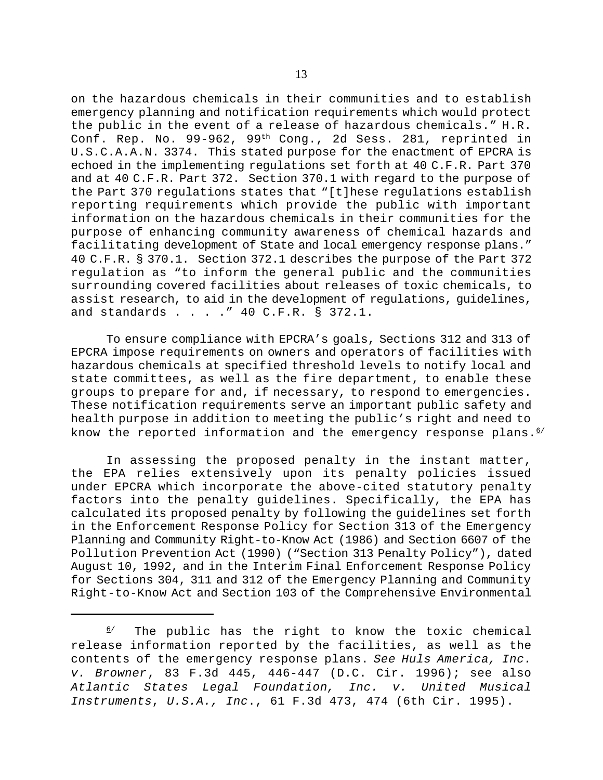on the hazardous chemicals in their communities and to establish emergency planning and notification requirements which would protect the public in the event of a release of hazardous chemicals." H.R. Conf. Rep. No. 99-962, 99th Cong., 2d Sess. 281, reprinted in U.S.C.A.A.N. 3374. This stated purpose for the enactment of EPCRA is echoed in the implementing regulations set forth at 40 C.F.R. Part 370 and at 40 C.F.R. Part 372. Section 370.1 with regard to the purpose of the Part 370 regulations states that "[t]hese regulations establish reporting requirements which provide the public with important information on the hazardous chemicals in their communities for the purpose of enhancing community awareness of chemical hazards and facilitating development of State and local emergency response plans." 40 C.F.R. § 370.1. Section 372.1 describes the purpose of the Part 372 regulation as "to inform the general public and the communities surrounding covered facilities about releases of toxic chemicals, to assist research, to aid in the development of regulations, guidelines, and standards . . . ." 40 C.F.R. § 372.1.

To ensure compliance with EPCRA's goals, Sections 312 and 313 of EPCRA impose requirements on owners and operators of facilities with hazardous chemicals at specified threshold levels to notify local and state committees, as well as the fire department, to enable these groups to prepare for and, if necessary, to respond to emergencies. These notification requirements serve an important public safety and health purpose in addition to meeting the public's right and need to know the reported information and the emergency response plans. $6/$ 

In assessing the proposed penalty in the instant matter, the EPA relies extensively upon its penalty policies issued under EPCRA which incorporate the above-cited statutory penalty factors into the penalty guidelines. Specifically, the EPA has calculated its proposed penalty by following the guidelines set forth in the Enforcement Response Policy for Section 313 of the Emergency Planning and Community Right-to-Know Act (1986) and Section 6607 of the Pollution Prevention Act (1990) ("Section 313 Penalty Policy"), dated August 10, 1992, and in the Interim Final Enforcement Response Policy for Sections 304, 311 and 312 of the Emergency Planning and Community Right-to-Know Act and Section 103 of the Comprehensive Environmental

 $6/$  The public has the right to know the toxic chemical release information reported by the facilities, as well as the contents of the emergency response plans. *See Huls America, Inc. v. Browner*, 83 F.3d 445, 446-447 (D.C. Cir. 1996); see also *Atlantic States Legal Foundation, Inc. v. United Musical Instruments*, *U.S.A., Inc*., 61 F.3d 473, 474 (6th Cir. 1995).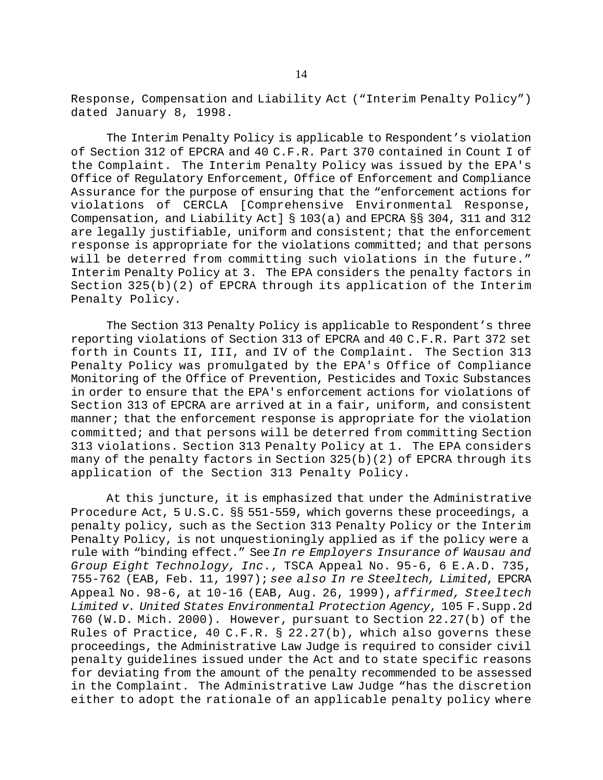Response, Compensation and Liability Act ("Interim Penalty Policy") dated January 8, 1998.

The Interim Penalty Policy is applicable to Respondent's violation of Section 312 of EPCRA and 40 C.F.R. Part 370 contained in Count I of the Complaint. The Interim Penalty Policy was issued by the EPA's Office of Regulatory Enforcement, Office of Enforcement and Compliance Assurance for the purpose of ensuring that the "enforcement actions for violations of CERCLA [Comprehensive Environmental Response, Compensation, and Liability Act] § 103(a) and EPCRA §§ 304, 311 and 312 are legally justifiable, uniform and consistent; that the enforcement response is appropriate for the violations committed; and that persons will be deterred from committing such violations in the future." Interim Penalty Policy at 3. The EPA considers the penalty factors in Section 325(b)(2) of EPCRA through its application of the Interim Penalty Policy.

The Section 313 Penalty Policy is applicable to Respondent's three reporting violations of Section 313 of EPCRA and 40 C.F.R. Part 372 set forth in Counts II, III, and IV of the Complaint. The Section 313 Penalty Policy was promulgated by the EPA's Office of Compliance Monitoring of the Office of Prevention, Pesticides and Toxic Substances in order to ensure that the EPA's enforcement actions for violations of Section 313 of EPCRA are arrived at in a fair, uniform, and consistent manner; that the enforcement response is appropriate for the violation committed; and that persons will be deterred from committing Section 313 violations. Section 313 Penalty Policy at 1. The EPA considers many of the penalty factors in Section 325(b)(2) of EPCRA through its application of the Section 313 Penalty Policy.

At this juncture, it is emphasized that under the Administrative Procedure Act, 5 U.S.C. §§ 551-559, which governs these proceedings, a penalty policy, such as the Section 313 Penalty Policy or the Interim Penalty Policy, is not unquestioningly applied as if the policy were a rule with "binding effect." See *In re Employers Insurance of Wausau and Group Eight Technology, Inc*., TSCA Appeal No. 95-6, 6 E.A.D. 735, 755-762 (EAB, Feb. 11, 1997); *see also In re Steeltech, Limited*, EPCRA Appeal No. 98-6, at 10-16 (EAB, Aug. 26, 1999), *affirmed, Steeltech Limited v. United States Environmental Protection Agency*, 105 F.Supp.2d 760 (W.D. Mich. 2000). However, pursuant to Section 22.27(b) of the Rules of Practice, 40 C.F.R. § 22.27(b), which also governs these proceedings, the Administrative Law Judge is required to consider civil penalty guidelines issued under the Act and to state specific reasons for deviating from the amount of the penalty recommended to be assessed in the Complaint. The Administrative Law Judge "has the discretion either to adopt the rationale of an applicable penalty policy where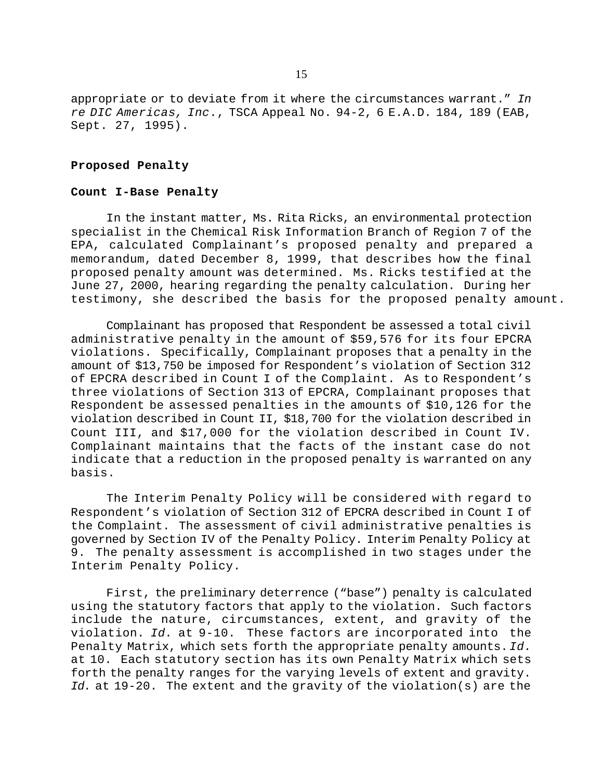appropriate or to deviate from it where the circumstances warrant." *In re DIC Americas, Inc*., TSCA Appeal No. 94-2, 6 E.A.D. 184, 189 (EAB, Sept. 27, 1995).

# **Proposed Penalty**

#### **Count I-Base Penalty**

In the instant matter, Ms. Rita Ricks, an environmental protection specialist in the Chemical Risk Information Branch of Region 7 of the EPA, calculated Complainant's proposed penalty and prepared a memorandum, dated December 8, 1999, that describes how the final proposed penalty amount was determined. Ms. Ricks testified at the June 27, 2000, hearing regarding the penalty calculation. During her testimony, she described the basis for the proposed penalty amount.

Complainant has proposed that Respondent be assessed a total civil administrative penalty in the amount of \$59,576 for its four EPCRA violations. Specifically, Complainant proposes that a penalty in the amount of \$13,750 be imposed for Respondent's violation of Section 312 of EPCRA described in Count I of the Complaint. As to Respondent's three violations of Section 313 of EPCRA, Complainant proposes that Respondent be assessed penalties in the amounts of \$10,126 for the violation described in Count II, \$18,700 for the violation described in Count III, and \$17,000 for the violation described in Count IV. Complainant maintains that the facts of the instant case do not indicate that a reduction in the proposed penalty is warranted on any basis.

The Interim Penalty Policy will be considered with regard to Respondent's violation of Section 312 of EPCRA described in Count I of the Complaint. The assessment of civil administrative penalties is governed by Section IV of the Penalty Policy. Interim Penalty Policy at 9. The penalty assessment is accomplished in two stages under the Interim Penalty Policy.

First, the preliminary deterrence ("base") penalty is calculated using the statutory factors that apply to the violation. Such factors include the nature, circumstances, extent, and gravity of the violation. *Id.* at 9-10. These factors are incorporated into the Penalty Matrix, which sets forth the appropriate penalty amounts. *Id.* at 10. Each statutory section has its own Penalty Matrix which sets forth the penalty ranges for the varying levels of extent and gravity. *Id.* at 19-20. The extent and the gravity of the violation(s) are the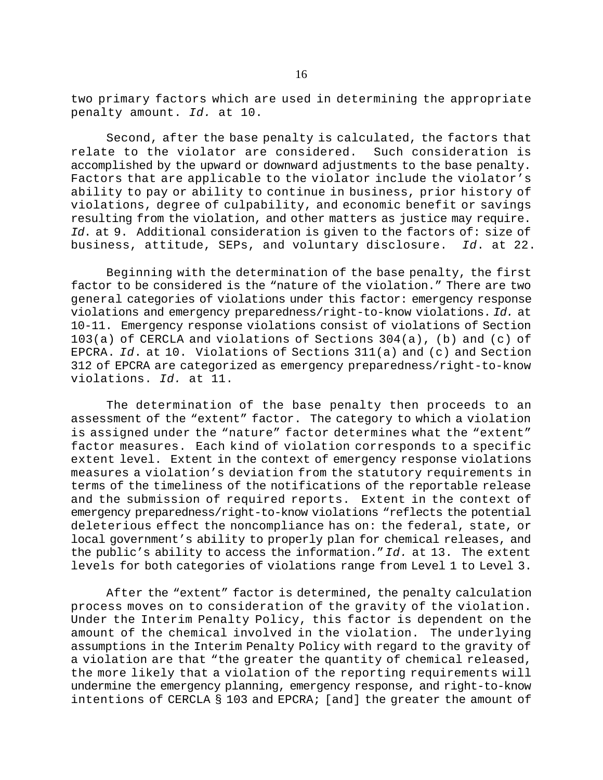two primary factors which are used in determining the appropriate penalty amount. *Id.* at 10.

Second, after the base penalty is calculated, the factors that relate to the violator are considered. Such consideration is accomplished by the upward or downward adjustments to the base penalty. Factors that are applicable to the violator include the violator's ability to pay or ability to continue in business, prior history of violations, degree of culpability, and economic benefit or savings resulting from the violation, and other matters as justice may require. *Id*. at 9. Additional consideration is given to the factors of: size of business, attitude, SEPs, and voluntary disclosure. *Id*. at 22.

Beginning with the determination of the base penalty, the first factor to be considered is the "nature of the violation." There are two general categories of violations under this factor: emergency response violations and emergency preparedness/right-to-know violations. *Id.* at 10-11. Emergency response violations consist of violations of Section 103(a) of CERCLA and violations of Sections 304(a), (b) and (c) of EPCRA. *Id*. at 10. Violations of Sections 311(a) and (c) and Section 312 of EPCRA are categorized as emergency preparedness/right-to-know violations. *Id.* at 11.

The determination of the base penalty then proceeds to an assessment of the "extent" factor. The category to which a violation is assigned under the "nature" factor determines what the "extent" factor measures. Each kind of violation corresponds to a specific extent level. Extent in the context of emergency response violations measures a violation's deviation from the statutory requirements in terms of the timeliness of the notifications of the reportable release and the submission of required reports. Extent in the context of emergency preparedness/right-to-know violations "reflects the potential deleterious effect the noncompliance has on: the federal, state, or local government's ability to properly plan for chemical releases, and the public's ability to access the information." *Id.* at 13. The extent levels for both categories of violations range from Level 1 to Level 3.

After the "extent" factor is determined, the penalty calculation process moves on to consideration of the gravity of the violation. Under the Interim Penalty Policy, this factor is dependent on the amount of the chemical involved in the violation. The underlying assumptions in the Interim Penalty Policy with regard to the gravity of a violation are that "the greater the quantity of chemical released, the more likely that a violation of the reporting requirements will undermine the emergency planning, emergency response, and right-to-know intentions of CERCLA § 103 and EPCRA; [and] the greater the amount of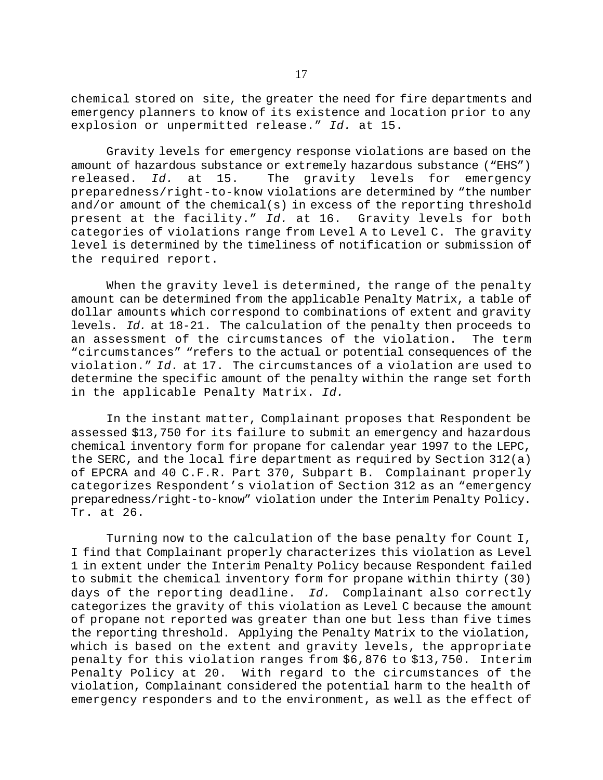chemical stored on site, the greater the need for fire departments and emergency planners to know of its existence and location prior to any explosion or unpermitted release." *Id.* at 15.

Gravity levels for emergency response violations are based on the amount of hazardous substance or extremely hazardous substance ("EHS") released. *Id.* at 15. The gravity levels for emergency preparedness/right-to-know violations are determined by "the number and/or amount of the chemical(s) in excess of the reporting threshold present at the facility." *Id.* at 16. Gravity levels for both categories of violations range from Level A to Level C. The gravity level is determined by the timeliness of notification or submission of the required report.

When the gravity level is determined, the range of the penalty amount can be determined from the applicable Penalty Matrix, a table of dollar amounts which correspond to combinations of extent and gravity levels. *Id.* at 18-21. The calculation of the penalty then proceeds to an assessment of the circumstances of the violation. The term "circumstances" "refers to the actual or potential consequences of the violation." *Id.* at 17. The circumstances of a violation are used to determine the specific amount of the penalty within the range set forth in the applicable Penalty Matrix. *Id.*

In the instant matter, Complainant proposes that Respondent be assessed \$13,750 for its failure to submit an emergency and hazardous chemical inventory form for propane for calendar year 1997 to the LEPC, the SERC, and the local fire department as required by Section 312(a) of EPCRA and 40 C.F.R. Part 370, Subpart B. Complainant properly categorizes Respondent's violation of Section 312 as an "emergency preparedness/right-to-know" violation under the Interim Penalty Policy. Tr. at 26.

Turning now to the calculation of the base penalty for Count I, I find that Complainant properly characterizes this violation as Level 1 in extent under the Interim Penalty Policy because Respondent failed to submit the chemical inventory form for propane within thirty (30) days of the reporting deadline. *Id.* Complainant also correctly categorizes the gravity of this violation as Level C because the amount of propane not reported was greater than one but less than five times the reporting threshold. Applying the Penalty Matrix to the violation, which is based on the extent and gravity levels, the appropriate penalty for this violation ranges from \$6,876 to \$13,750. Interim Penalty Policy at 20. With regard to the circumstances of the violation, Complainant considered the potential harm to the health of emergency responders and to the environment, as well as the effect of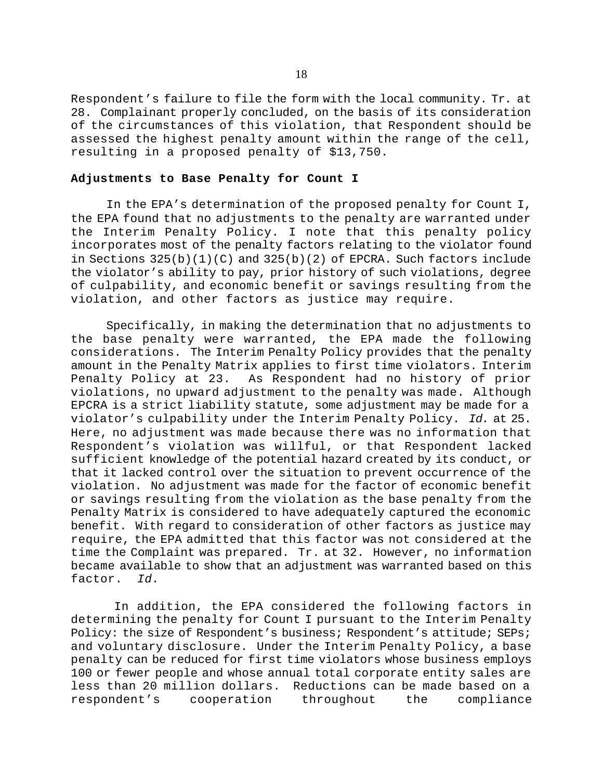Respondent's failure to file the form with the local community. Tr*.* at 28. Complainant properly concluded, on the basis of its consideration of the circumstances of this violation, that Respondent should be assessed the highest penalty amount within the range of the cell, resulting in a proposed penalty of \$13,750.

# **Adjustments to Base Penalty for Count I**

In the EPA's determination of the proposed penalty for Count I, the EPA found that no adjustments to the penalty are warranted under the Interim Penalty Policy. I note that this penalty policy incorporates most of the penalty factors relating to the violator found in Sections  $325(b)(1)(C)$  and  $325(b)(2)$  of EPCRA. Such factors include the violator's ability to pay, prior history of such violations, degree of culpability, and economic benefit or savings resulting from the violation, and other factors as justice may require.

Specifically, in making the determination that no adjustments to the base penalty were warranted, the EPA made the following considerations. The Interim Penalty Policy provides that the penalty amount in the Penalty Matrix applies to first time violators. Interim Penalty Policy at 23. As Respondent had no history of prior violations, no upward adjustment to the penalty was made. Although EPCRA is a strict liability statute, some adjustment may be made for a violator's culpability under the Interim Penalty Policy. *Id.* at 25. Here, no adjustment was made because there was no information that Respondent's violation was willful, or that Respondent lacked sufficient knowledge of the potential hazard created by its conduct, or that it lacked control over the situation to prevent occurrence of the violation. No adjustment was made for the factor of economic benefit or savings resulting from the violation as the base penalty from the Penalty Matrix is considered to have adequately captured the economic benefit. With regard to consideration of other factors as justice may require, the EPA admitted that this factor was not considered at the time the Complaint was prepared. Tr. at 32. However, no information became available to show that an adjustment was warranted based on this factor. *Id.*

 In addition, the EPA considered the following factors in determining the penalty for Count I pursuant to the Interim Penalty Policy: the size of Respondent's business; Respondent's attitude; SEPs; and voluntary disclosure. Under the Interim Penalty Policy, a base penalty can be reduced for first time violators whose business employs 100 or fewer people and whose annual total corporate entity sales are less than 20 million dollars. Reductions can be made based on a respondent's cooperation throughout the compliance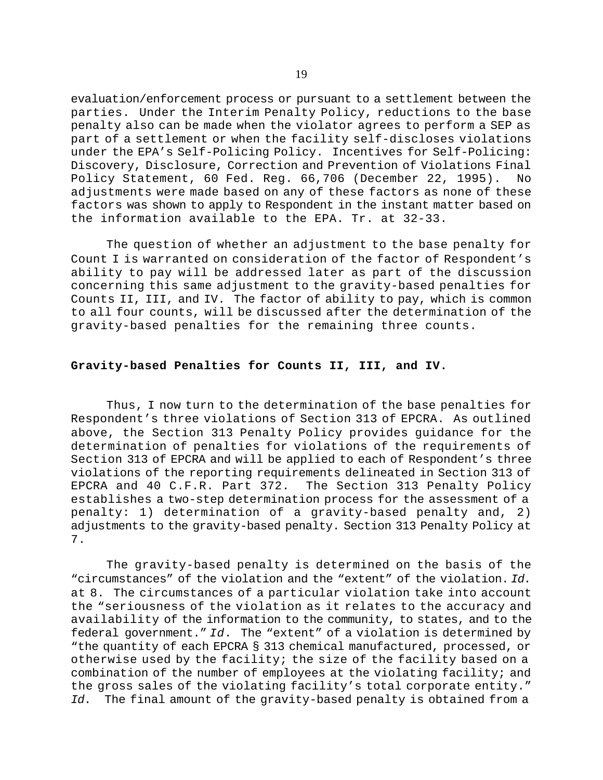evaluation/enforcement process or pursuant to a settlement between the parties. Under the Interim Penalty Policy, reductions to the base penalty also can be made when the violator agrees to perform a SEP as part of a settlement or when the facility self-discloses violations under the EPA's Self-Policing Policy. Incentives for Self-Policing: Discovery, Disclosure, Correction and Prevention of Violations Final Policy Statement, 60 Fed. Reg. 66,706 (December 22, 1995). No adjustments were made based on any of these factors as none of these factors was shown to apply to Respondent in the instant matter based on the information available to the EPA. Tr. at 32-33.

The question of whether an adjustment to the base penalty for Count I is warranted on consideration of the factor of Respondent's ability to pay will be addressed later as part of the discussion concerning this same adjustment to the gravity-based penalties for Counts II, III, and IV. The factor of ability to pay, which is common to all four counts, will be discussed after the determination of the gravity-based penalties for the remaining three counts.

# **Gravity-based Penalties for Counts II, III, and IV.**

Thus, I now turn to the determination of the base penalties for Respondent's three violations of Section 313 of EPCRA. As outlined above, the Section 313 Penalty Policy provides guidance for the determination of penalties for violations of the requirements of Section 313 of EPCRA and will be applied to each of Respondent's three violations of the reporting requirements delineated in Section 313 of EPCRA and 40 C.F.R. Part 372. The Section 313 Penalty Policy establishes a two-step determination process for the assessment of a penalty: 1) determination of a gravity-based penalty and, 2) adjustments to the gravity-based penalty. Section 313 Penalty Policy at 7.

The gravity-based penalty is determined on the basis of the "circumstances" of the violation and the "extent" of the violation. *Id.* at 8. The circumstances of a particular violation take into account the "seriousness of the violation as it relates to the accuracy and availability of the information to the community, to states, and to the federal government." *Id*. The "extent" of a violation is determined by "the quantity of each EPCRA § 313 chemical manufactured, processed, or otherwise used by the facility; the size of the facility based on a combination of the number of employees at the violating facility; and the gross sales of the violating facility's total corporate entity." *Id*. The final amount of the gravity-based penalty is obtained from a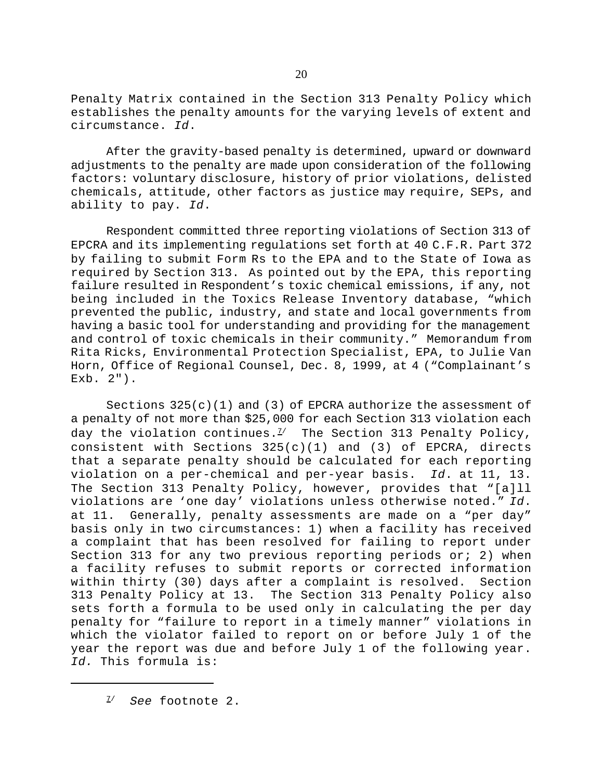Penalty Matrix contained in the Section 313 Penalty Policy which establishes the penalty amounts for the varying levels of extent and circumstance. *Id*.

After the gravity-based penalty is determined, upward or downward adjustments to the penalty are made upon consideration of the following factors: voluntary disclosure, history of prior violations, delisted chemicals, attitude, other factors as justice may require, SEPs, and ability to pay. *Id*.

Respondent committed three reporting violations of Section 313 of EPCRA and its implementing regulations set forth at 40 C.F.R. Part 372 by failing to submit Form Rs to the EPA and to the State of Iowa as required by Section 313. As pointed out by the EPA, this reporting failure resulted in Respondent's toxic chemical emissions, if any, not being included in the Toxics Release Inventory database, "which prevented the public, industry, and state and local governments from having a basic tool for understanding and providing for the management and control of toxic chemicals in their community." Memorandum from Rita Ricks, Environmental Protection Specialist, EPA, to Julie Van Horn, Office of Regional Counsel, Dec. 8, 1999, at 4 ("Complainant's Exb. 2").

Sections  $325(c)(1)$  and (3) of EPCRA authorize the assessment of a penalty of not more than \$25,000 for each Section 313 violation each day the violation continues. $1/2$  The Section 313 Penalty Policy, consistent with Sections  $325(c)(1)$  and (3) of EPCRA, directs that a separate penalty should be calculated for each reporting violation on a per-chemical and per-year basis. *Id*. at 11, 13. The Section 313 Penalty Policy, however, provides that "[a]ll violations are 'one day' violations unless otherwise noted." *Id*. at 11. Generally, penalty assessments are made on a "per day" basis only in two circumstances: 1) when a facility has received a complaint that has been resolved for failing to report under Section 313 for any two previous reporting periods or; 2) when a facility refuses to submit reports or corrected information within thirty (30) days after a complaint is resolved. Section 313 Penalty Policy at 13. The Section 313 Penalty Policy also sets forth a formula to be used only in calculating the per day penalty for "failure to report in a timely manner" violations in which the violator failed to report on or before July 1 of the year the report was due and before July 1 of the following year. *Id.* This formula is: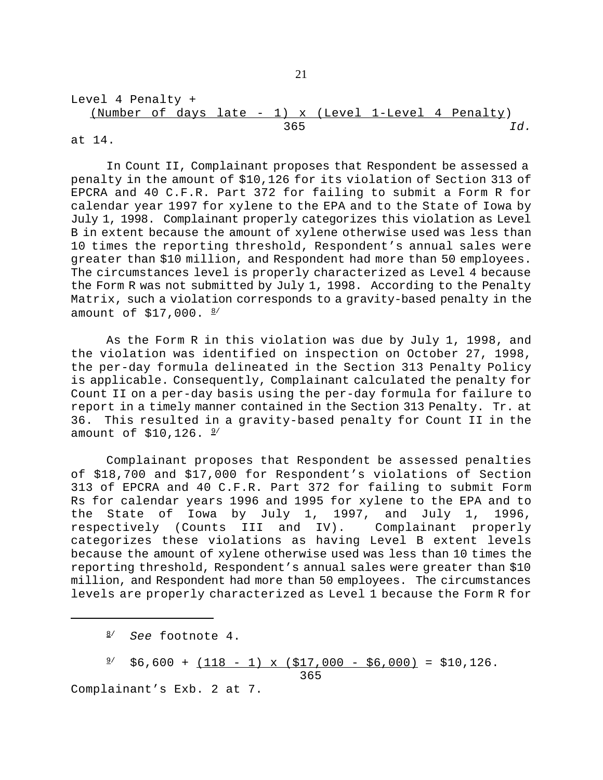Level 4 Penalty + (Number of days late - 1) x (Level 1-Level 4 Penalty) 365 *Id.*

at 14.

In Count II, Complainant proposes that Respondent be assessed a penalty in the amount of \$10,126 for its violation of Section 313 of EPCRA and 40 C.F.R. Part 372 for failing to submit a Form R for calendar year 1997 for xylene to the EPA and to the State of Iowa by July 1, 1998. Complainant properly categorizes this violation as Level B in extent because the amount of xylene otherwise used was less than 10 times the reporting threshold, Respondent's annual sales were greater than \$10 million, and Respondent had more than 50 employees. The circumstances level is properly characterized as Level 4 because the Form R was not submitted by July 1, 1998. According to the Penalty Matrix, such a violation corresponds to a gravity-based penalty in the amount of  $$17,000.$   $\frac{8}{ }$ 

As the Form R in this violation was due by July 1, 1998, and the violation was identified on inspection on October 27, 1998, the per-day formula delineated in the Section 313 Penalty Policy is applicable. Consequently, Complainant calculated the penalty for Count II on a per-day basis using the per-day formula for failure to report in a timely manner contained in the Section 313 Penalty. Tr. at 36. This resulted in a gravity-based penalty for Count II in the amount of  $$10,126.$   $\frac{9}{1}$ 

Complainant proposes that Respondent be assessed penalties of \$18,700 and \$17,000 for Respondent's violations of Section 313 of EPCRA and 40 C.F.R. Part 372 for failing to submit Form Rs for calendar years 1996 and 1995 for xylene to the EPA and to the State of Iowa by July 1, 1997, and July 1, 1996, respectively (Counts III and IV). Complainant properly categorizes these violations as having Level B extent levels because the amount of xylene otherwise used was less than 10 times the reporting threshold, Respondent's annual sales were greater than \$10 million, and Respondent had more than 50 employees. The circumstances levels are properly characterized as Level 1 because the Form R for

 $\frac{9}{7}$  \$6,600 + (118 - 1) x (\$17,000 - \$6,000) = \$10,126.

<u>365</u>

Complainant's Exb. 2 at 7.

<sup>8/</sup> *See* footnote 4.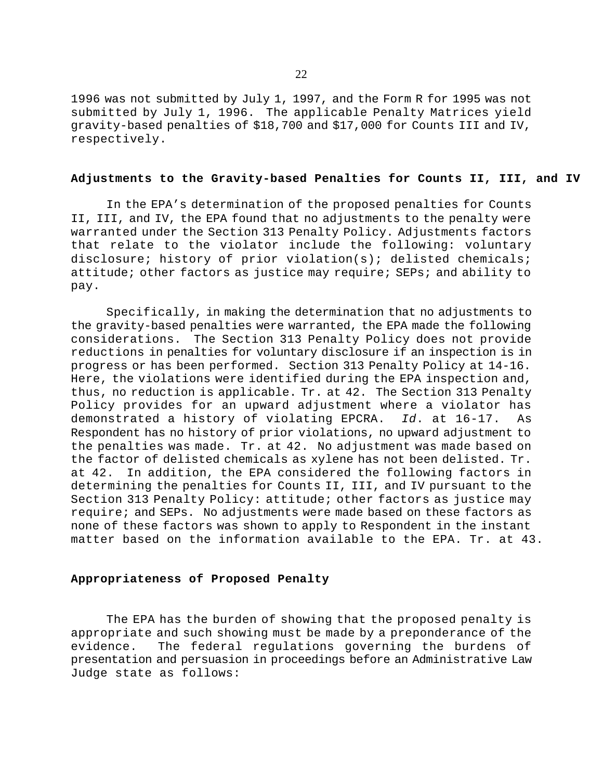1996 was not submitted by July 1, 1997, and the Form R for 1995 was not submitted by July 1, 1996. The applicable Penalty Matrices yield gravity-based penalties of \$18,700 and \$17,000 for Counts III and IV, respectively.

### **Adjustments to the Gravity-based Penalties for Counts II, III, and IV**

In the EPA's determination of the proposed penalties for Counts II, III, and IV, the EPA found that no adjustments to the penalty were warranted under the Section 313 Penalty Policy. Adjustments factors that relate to the violator include the following: voluntary disclosure; history of prior violation(s); delisted chemicals; attitude; other factors as justice may require; SEPs; and ability to pay.

Specifically, in making the determination that no adjustments to the gravity-based penalties were warranted, the EPA made the following considerations. The Section 313 Penalty Policy does not provide reductions in penalties for voluntary disclosure if an inspection is in progress or has been performed. Section 313 Penalty Policy at 14-16. Here, the violations were identified during the EPA inspection and, thus, no reduction is applicable. Tr. at 42. The Section 313 Penalty Policy provides for an upward adjustment where a violator has demonstrated a history of violating EPCRA. *Id*. at 16-17. As Respondent has no history of prior violations, no upward adjustment to the penalties was made. Tr. at 42. No adjustment was made based on the factor of delisted chemicals as xylene has not been delisted. Tr. at 42. In addition, the EPA considered the following factors in determining the penalties for Counts II, III, and IV pursuant to the Section 313 Penalty Policy: attitude; other factors as justice may require; and SEPs. No adjustments were made based on these factors as none of these factors was shown to apply to Respondent in the instant matter based on the information available to the EPA. Tr. at 43.

# **Appropriateness of Proposed Penalty**

The EPA has the burden of showing that the proposed penalty is appropriate and such showing must be made by a preponderance of the evidence. The federal regulations governing the burdens of presentation and persuasion in proceedings before an Administrative Law Judge state as follows: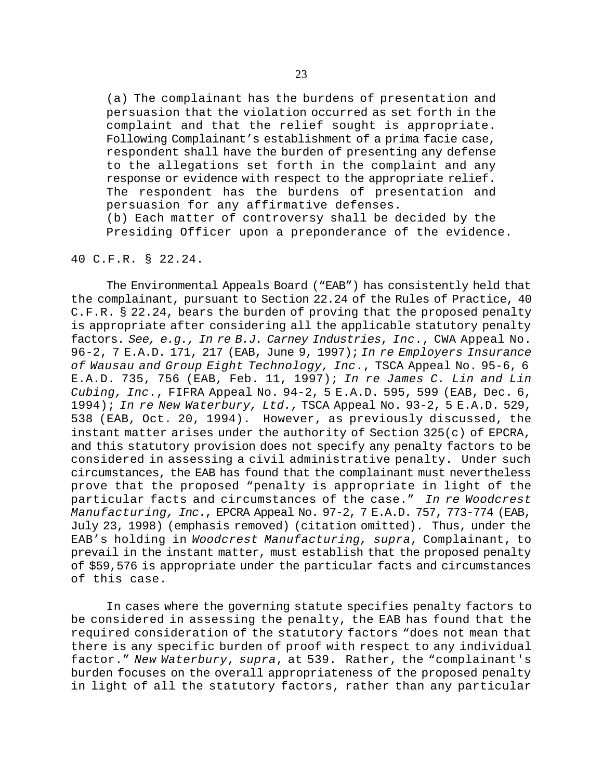(a) The complainant has the burdens of presentation and persuasion that the violation occurred as set forth in the complaint and that the relief sought is appropriate. Following Complainant's establishment of a prima facie case, respondent shall have the burden of presenting any defense to the allegations set forth in the complaint and any response or evidence with respect to the appropriate relief. The respondent has the burdens of presentation and persuasion for any affirmative defenses. (b) Each matter of controversy shall be decided by the Presiding Officer upon a preponderance of the evidence.

# 40 C.F.R. § 22.24.

The Environmental Appeals Board ("EAB") has consistently held that the complainant, pursuant to Section 22.24 of the Rules of Practice, 40 C.F.R. § 22.24, bears the burden of proving that the proposed penalty is appropriate after considering all the applicable statutory penalty factors. *See, e.g., In re B.J. Carney Industries*, *Inc*., CWA Appeal No. 96-2, 7 E.A.D. 171, 217 (EAB, June 9, 1997); *In re Employers Insurance of Wausau and Group Eight Technology, Inc*., TSCA Appeal No. 95-6, 6 E.A.D. 735, 756 (EAB, Feb. 11, 1997); *In re James C. Lin and Lin Cubing, Inc*., FIFRA Appeal No. 94-2, 5 E.A.D. 595, 599 (EAB, Dec. 6, 1994); *In re New Waterbury, Ltd.,* TSCA Appeal No. 93-2, 5 E.A.D. 529, 538 (EAB, Oct. 20, 1994). However, as previously discussed, the instant matter arises under the authority of Section 325(c) of EPCRA, and this statutory provision does not specify any penalty factors to be considered in assessing a civil administrative penalty. Under such circumstances, the EAB has found that the complainant must nevertheless prove that the proposed "penalty is appropriate in light of the particular facts and circumstances of the case." *In re Woodcrest Manufacturing, Inc*., EPCRA Appeal No. 97-2, 7 E.A.D. 757, 773-774 (EAB, July 23, 1998) (emphasis removed) (citation omitted). Thus, under the EAB's holding in *Woodcrest Manufacturing, supra*, Complainant, to prevail in the instant matter, must establish that the proposed penalty of \$59,576 is appropriate under the particular facts and circumstances of this case.

In cases where the governing statute specifies penalty factors to be considered in assessing the penalty, the EAB has found that the required consideration of the statutory factors "does not mean that there is any specific burden of proof with respect to any individual factor." *New Waterbury*, *supra*, at 539. Rather, the "complainant's burden focuses on the overall appropriateness of the proposed penalty in light of all the statutory factors, rather than any particular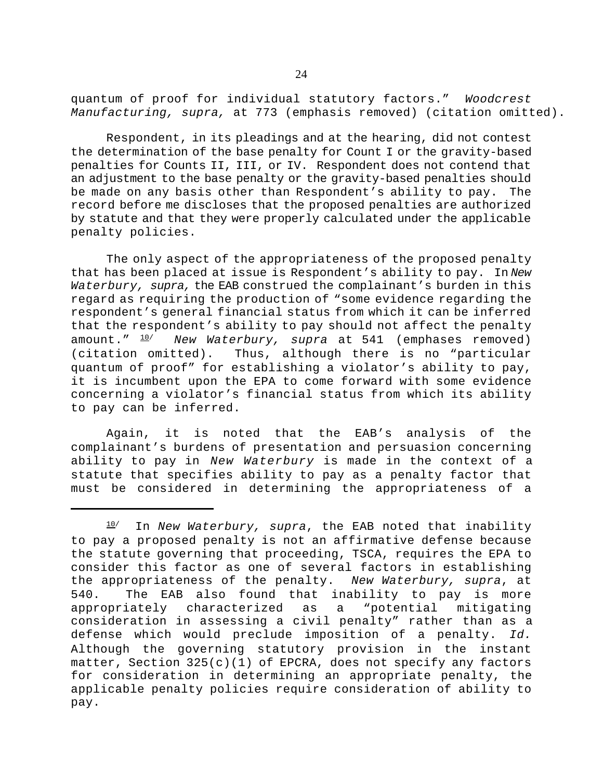quantum of proof for individual statutory factors." *Woodcrest Manufacturing, supra,* at 773 (emphasis removed) (citation omitted).

Respondent, in its pleadings and at the hearing, did not contest the determination of the base penalty for Count I or the gravity-based penalties for Counts II, III, or IV. Respondent does not contend that an adjustment to the base penalty or the gravity-based penalties should be made on any basis other than Respondent's ability to pay. The record before me discloses that the proposed penalties are authorized by statute and that they were properly calculated under the applicable penalty policies.

The only aspect of the appropriateness of the proposed penalty that has been placed at issue is Respondent's ability to pay. In *New Waterbury, supra,* the EAB construed the complainant's burden in this regard as requiring the production of "some evidence regarding the respondent's general financial status from which it can be inferred that the respondent's ability to pay should not affect the penalty amount." 10/ *New Waterbury, supra* at 541 (emphases removed) (citation omitted). Thus, although there is no "particular quantum of proof" for establishing a violator's ability to pay, it is incumbent upon the EPA to come forward with some evidence concerning a violator's financial status from which its ability to pay can be inferred.

Again, it is noted that the EAB's analysis of the complainant's burdens of presentation and persuasion concerning ability to pay in *New Waterbury* is made in the context of a statute that specifies ability to pay as a penalty factor that must be considered in determining the appropriateness of a

 $10$ <sup>/</sup> In *New Waterbury, supra*, the EAB noted that inability to pay a proposed penalty is not an affirmative defense because the statute governing that proceeding, TSCA, requires the EPA to consider this factor as one of several factors in establishing the appropriateness of the penalty. *New Waterbury, supra*, at 540. The EAB also found that inability to pay is more appropriately characterized as a "potential mitigating consideration in assessing a civil penalty" rather than as a defense which would preclude imposition of a penalty. *Id.* Although the governing statutory provision in the instant matter, Section  $325(c)(1)$  of EPCRA, does not specify any factors for consideration in determining an appropriate penalty, the applicable penalty policies require consideration of ability to pay.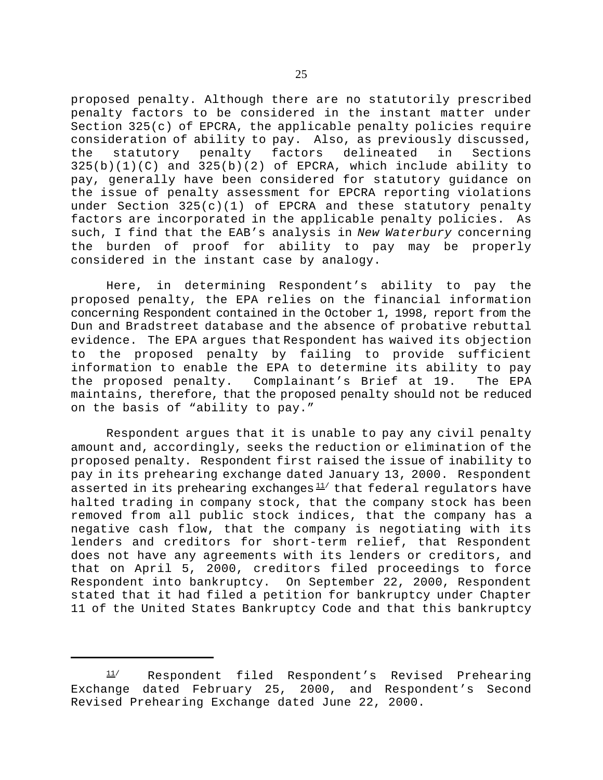proposed penalty. Although there are no statutorily prescribed penalty factors to be considered in the instant matter under Section 325(c) of EPCRA, the applicable penalty policies require consideration of ability to pay. Also, as previously discussed, the statutory penalty factors delineated in Sections  $325(b)(1)(C)$  and  $325(b)(2)$  of EPCRA, which include ability to pay, generally have been considered for statutory guidance on the issue of penalty assessment for EPCRA reporting violations under Section 325(c)(1) of EPCRA and these statutory penalty factors are incorporated in the applicable penalty policies. As such, I find that the EAB's analysis in *New Waterbury* concerning the burden of proof for ability to pay may be properly considered in the instant case by analogy.

Here, in determining Respondent's ability to pay the proposed penalty, the EPA relies on the financial information concerning Respondent contained in the October 1, 1998, report from the Dun and Bradstreet database and the absence of probative rebuttal evidence. The EPA argues that Respondent has waived its objection to the proposed penalty by failing to provide sufficient information to enable the EPA to determine its ability to pay the proposed penalty. Complainant's Brief at 19. The EPA maintains, therefore, that the proposed penalty should not be reduced on the basis of "ability to pay."

Respondent argues that it is unable to pay any civil penalty amount and, accordingly, seeks the reduction or elimination of the proposed penalty. Respondent first raised the issue of inability to pay in its prehearing exchange dated January 13, 2000. Respondent asserted in its prehearing exchanges $11/$  that federal regulators have halted trading in company stock, that the company stock has been removed from all public stock indices, that the company has a negative cash flow, that the company is negotiating with its lenders and creditors for short-term relief, that Respondent does not have any agreements with its lenders or creditors, and that on April 5, 2000, creditors filed proceedings to force Respondent into bankruptcy. On September 22, 2000, Respondent stated that it had filed a petition for bankruptcy under Chapter 11 of the United States Bankruptcy Code and that this bankruptcy

 $11/$  Respondent filed Respondent's Revised Prehearing Exchange dated February 25, 2000, and Respondent's Second Revised Prehearing Exchange dated June 22, 2000.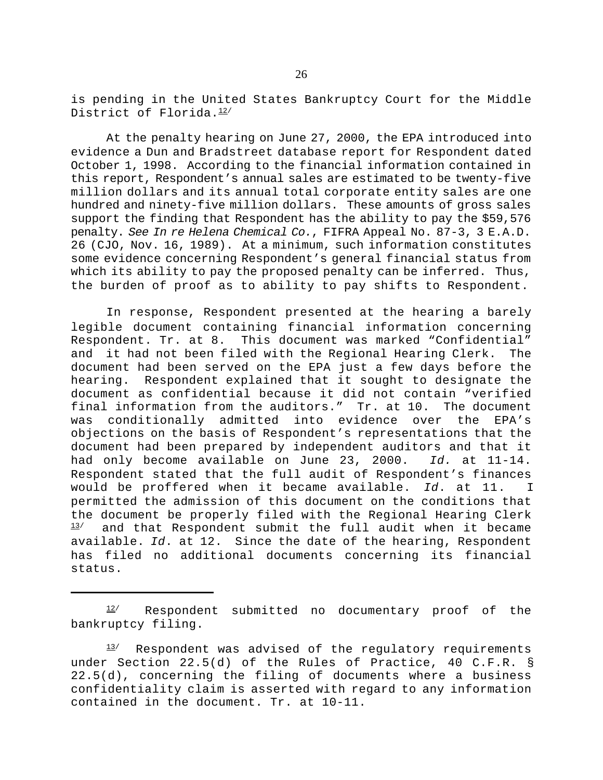is pending in the United States Bankruptcy Court for the Middle District of Florida. 12/

At the penalty hearing on June 27, 2000, the EPA introduced into evidence a Dun and Bradstreet database report for Respondent dated October 1, 1998. According to the financial information contained in this report, Respondent's annual sales are estimated to be twenty-five million dollars and its annual total corporate entity sales are one hundred and ninety-five million dollars. These amounts of gross sales support the finding that Respondent has the ability to pay the \$59,576 penalty. *See In re Helena Chemical Co.*, FIFRA Appeal No. 87-3, 3 E.A.D. 26 (CJO, Nov. 16, 1989). At a minimum, such information constitutes some evidence concerning Respondent's general financial status from which its ability to pay the proposed penalty can be inferred. Thus, the burden of proof as to ability to pay shifts to Respondent.

In response, Respondent presented at the hearing a barely legible document containing financial information concerning Respondent. Tr. at 8. This document was marked "Confidential" and it had not been filed with the Regional Hearing Clerk. The document had been served on the EPA just a few days before the hearing. Respondent explained that it sought to designate the document as confidential because it did not contain "verified final information from the auditors." Tr. at 10. The document was conditionally admitted into evidence over the EPA's objections on the basis of Respondent's representations that the document had been prepared by independent auditors and that it had only become available on June 23, 2000. *Id.* at 11-14. Respondent stated that the full audit of Respondent's finances would be proffered when it became available. *Id*. at 11. I permitted the admission of this document on the conditions that the document be properly filed with the Regional Hearing Clerk  $13/$  and that Respondent submit the full audit when it became available. *Id*. at 12. Since the date of the hearing, Respondent has filed no additional documents concerning its financial status.

 $12$  Respondent submitted no documentary proof of the bankruptcy filing.

 $13/$  Respondent was advised of the regulatory requirements under Section 22.5(d) of the Rules of Practice, 40 C.F.R. § 22.5(d), concerning the filing of documents where a business confidentiality claim is asserted with regard to any information contained in the document. Tr. at 10-11.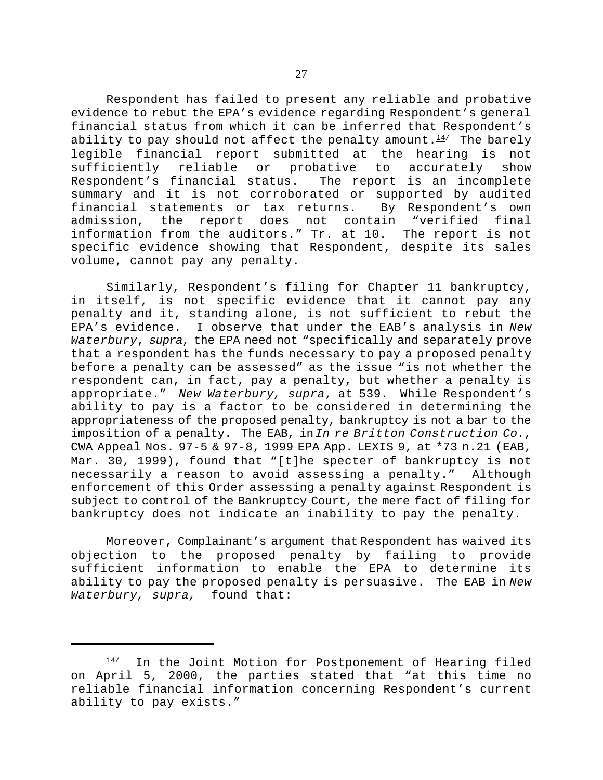Respondent has failed to present any reliable and probative evidence to rebut the EPA's evidence regarding Respondent's general financial status from which it can be inferred that Respondent's ability to pay should not affect the penalty amount. $14/$  The barely legible financial report submitted at the hearing is not sufficiently reliable or probative to accurately show Respondent's financial status. The report is an incomplete summary and it is not corroborated or supported by audited financial statements or tax returns. By Respondent's own admission, the report does not contain "verified final information from the auditors." Tr. at 10. The report is not specific evidence showing that Respondent, despite its sales volume, cannot pay any penalty.

Similarly, Respondent's filing for Chapter 11 bankruptcy, in itself, is not specific evidence that it cannot pay any penalty and it, standing alone, is not sufficient to rebut the EPA's evidence. I observe that under the EAB's analysis in *New Waterbury*, *supra*, the EPA need not "specifically and separately prove that a respondent has the funds necessary to pay a proposed penalty before a penalty can be assessed" as the issue "is not whether the respondent can, in fact, pay a penalty, but whether a penalty is appropriate." *New Waterbury, supra*, at 539. While Respondent's ability to pay is a factor to be considered in determining the appropriateness of the proposed penalty, bankruptcy is not a bar to the imposition of a penalty. The EAB, in *In re Britton Construction Co.*, CWA Appeal Nos. 97-5 & 97-8, 1999 EPA App. LEXIS 9, at \*73 n.21 (EAB, Mar. 30, 1999), found that "[t]he specter of bankruptcy is not necessarily a reason to avoid assessing a penalty." Although enforcement of this Order assessing a penalty against Respondent is subject to control of the Bankruptcy Court, the mere fact of filing for bankruptcy does not indicate an inability to pay the penalty.

Moreover, Complainant's argument that Respondent has waived its objection to the proposed penalty by failing to provide sufficient information to enable the EPA to determine its ability to pay the proposed penalty is persuasive. The EAB in *New Waterbury, supra,* found that:

<sup>14/</sup> In the Joint Motion for Postponement of Hearing filed on April 5, 2000, the parties stated that "at this time no reliable financial information concerning Respondent's current ability to pay exists."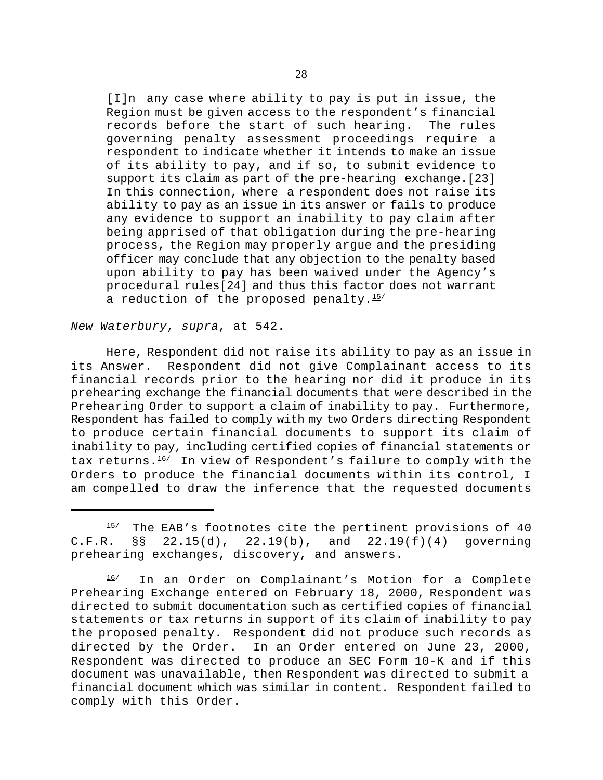[I]n any case where ability to pay is put in issue, the Region must be given access to the respondent's financial records before the start of such hearing. The rules governing penalty assessment proceedings require a respondent to indicate whether it intends to make an issue of its ability to pay, and if so, to submit evidence to support its claim as part of the pre-hearing exchange.[23] In this connection, where a respondent does not raise its ability to pay as an issue in its answer or fails to produce any evidence to support an inability to pay claim after being apprised of that obligation during the pre-hearing process, the Region may properly argue and the presiding officer may conclude that any objection to the penalty based upon ability to pay has been waived under the Agency's procedural rules[24] and thus this factor does not warrant a reduction of the proposed penalty. $15/$ 

*New Waterbury*, *supra*, at 542.

Here, Respondent did not raise its ability to pay as an issue in its Answer. Respondent did not give Complainant access to its financial records prior to the hearing nor did it produce in its prehearing exchange the financial documents that were described in the Prehearing Order to support a claim of inability to pay. Furthermore, Respondent has failed to comply with my two Orders directing Respondent to produce certain financial documents to support its claim of inability to pay, including certified copies of financial statements or tax returns. $16/$  In view of Respondent's failure to comply with the Orders to produce the financial documents within its control, I am compelled to draw the inference that the requested documents

 $15/$  The EAB's footnotes cite the pertinent provisions of 40 C.F.R. §§ 22.15(d), 22.19(b), and 22.19(f)(4) governing prehearing exchanges, discovery, and answers.

<sup>16/</sup> In an Order on Complainant's Motion for a Complete Prehearing Exchange entered on February 18, 2000, Respondent was directed to submit documentation such as certified copies of financial statements or tax returns in support of its claim of inability to pay the proposed penalty. Respondent did not produce such records as directed by the Order. In an Order entered on June 23, 2000, Respondent was directed to produce an SEC Form 10-K and if this document was unavailable, then Respondent was directed to submit a financial document which was similar in content. Respondent failed to comply with this Order.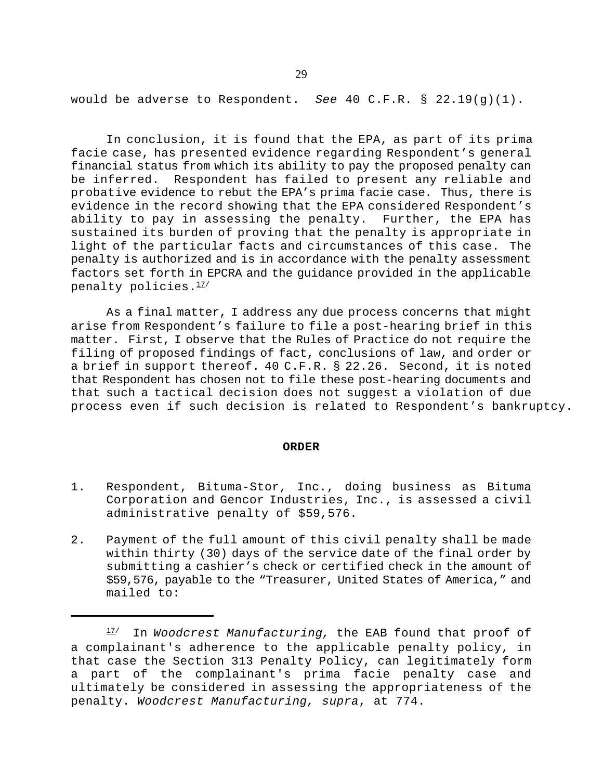would be adverse to Respondent. *See* 40 C.F.R. § 22.19(g)(1).

In conclusion, it is found that the EPA, as part of its prima facie case, has presented evidence regarding Respondent's general financial status from which its ability to pay the proposed penalty can be inferred. Respondent has failed to present any reliable and probative evidence to rebut the EPA's prima facie case. Thus, there is evidence in the record showing that the EPA considered Respondent's ability to pay in assessing the penalty. Further, the EPA has sustained its burden of proving that the penalty is appropriate in light of the particular facts and circumstances of this case. The penalty is authorized and is in accordance with the penalty assessment factors set forth in EPCRA and the guidance provided in the applicable penalty policies.<sup>17/</sup>

As a final matter, I address any due process concerns that might arise from Respondent's failure to file a post-hearing brief in this matter. First, I observe that the Rules of Practice do not require the filing of proposed findings of fact, conclusions of law, and order or a brief in support thereof. 40 C.F.R. § 22.26. Second, it is noted that Respondent has chosen not to file these post-hearing documents and that such a tactical decision does not suggest a violation of due process even if such decision is related to Respondent's bankruptcy.

#### **ORDER**

- 1. Respondent, Bituma-Stor, Inc., doing business as Bituma Corporation and Gencor Industries, Inc., is assessed a civil administrative penalty of \$59,576.
- 2. Payment of the full amount of this civil penalty shall be made within thirty (30) days of the service date of the final order by submitting a cashier's check or certified check in the amount of \$59,576, payable to the "Treasurer, United States of America," and mailed to:

<sup>17/</sup> In *Woodcrest Manufacturing,* the EAB found that proof of a complainant's adherence to the applicable penalty policy, in that case the Section 313 Penalty Policy, can legitimately form a part of the complainant's prima facie penalty case and ultimately be considered in assessing the appropriateness of the penalty. *Woodcrest Manufacturing, supra*, at 774.